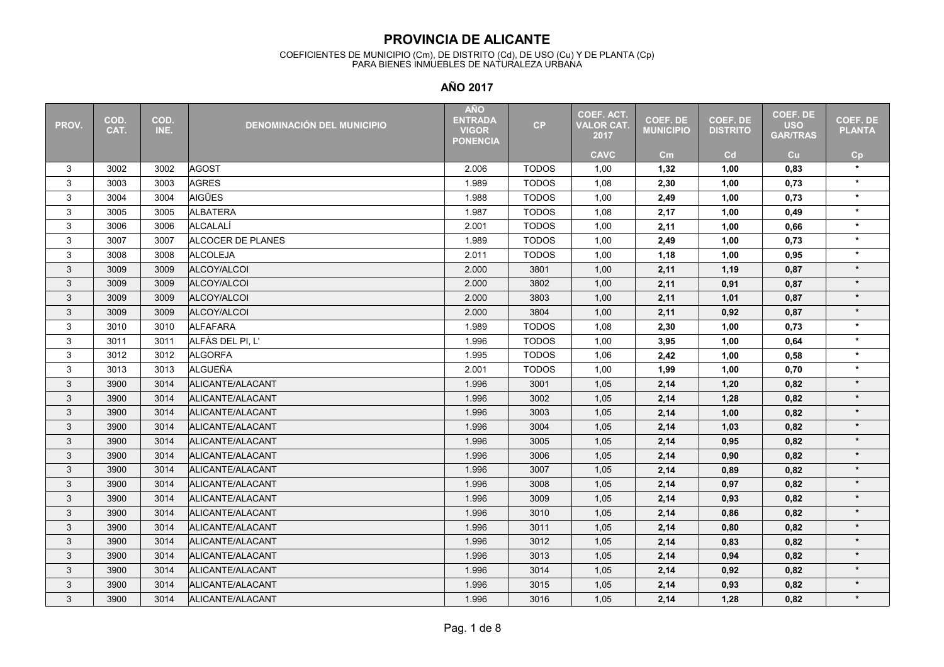#### COEFICIENTES DE MUNICIPIO (Cm), DE DISTRITO (Cd), DE USO (Cu) Y DE PLANTA (Cp) PARA BIENES INMUEBLES DE NATURALEZA URBANA

| PROV. | COD.<br>CAT. | COD.<br>INE. | <b>DENOMINACIÓN DEL MUNICIPIO</b> | <b>AÑO</b><br><b>ENTRADA</b><br><b>VIGOR</b><br><b>PONENCIA</b> | CP           | <b>COEF. ACT.</b><br><b>VALOR CAT.</b><br>2017 | <b>COEF. DE</b><br><b>MUNICIPIO</b> | <b>COEF. DE</b><br><b>DISTRITO</b> | COEF. DE<br><b>USO</b><br><b>GAR/TRAS</b> | <b>COEF. DE</b><br><b>PLANTA</b> |
|-------|--------------|--------------|-----------------------------------|-----------------------------------------------------------------|--------------|------------------------------------------------|-------------------------------------|------------------------------------|-------------------------------------------|----------------------------------|
|       |              |              |                                   |                                                                 |              | <b>CAVC</b>                                    | $\mathsf{cm}$                       | Cd                                 | Cu                                        | Cp                               |
| 3     | 3002         | 3002         | <b>AGOST</b>                      | 2.006                                                           | <b>TODOS</b> | 1,00                                           | 1,32                                | 1,00                               | 0.83                                      | $\star$                          |
| 3     | 3003         | 3003         | <b>AGRES</b>                      | 1.989                                                           | <b>TODOS</b> | 1,08                                           | 2,30                                | 1,00                               | 0,73                                      | $\star$                          |
| 3     | 3004         | 3004         | <b>AIGÜES</b>                     | 1.988                                                           | <b>TODOS</b> | 1,00                                           | 2,49                                | 1,00                               | 0,73                                      | $\star$                          |
| 3     | 3005         | 3005         | <b>ALBATERA</b>                   | 1.987                                                           | <b>TODOS</b> | 1,08                                           | 2,17                                | 1,00                               | 0,49                                      | $\star$                          |
| 3     | 3006         | 3006         | <b>ALCALALÍ</b>                   | 2.001                                                           | <b>TODOS</b> | 1,00                                           | 2,11                                | 1,00                               | 0,66                                      | $\star$                          |
| 3     | 3007         | 3007         | ALCOCER DE PLANES                 | 1.989                                                           | <b>TODOS</b> | 1,00                                           | 2,49                                | 1,00                               | 0,73                                      | $\star$                          |
| 3     | 3008         | 3008         | <b>ALCOLEJA</b>                   | 2.011                                                           | <b>TODOS</b> | 1,00                                           | 1,18                                | 1,00                               | 0,95                                      | $\star$                          |
| 3     | 3009         | 3009         | ALCOY/ALCOI                       | 2.000                                                           | 3801         | 1,00                                           | 2,11                                | 1,19                               | 0,87                                      | $\star$                          |
| 3     | 3009         | 3009         | ALCOY/ALCOI                       | 2.000                                                           | 3802         | 1,00                                           | 2,11                                | 0,91                               | 0,87                                      | $\star$                          |
| 3     | 3009         | 3009         | ALCOY/ALCOI                       | 2.000                                                           | 3803         | 1,00                                           | 2,11                                | 1,01                               | 0,87                                      | $\star$                          |
| 3     | 3009         | 3009         | ALCOY/ALCOI                       | 2.000                                                           | 3804         | 1,00                                           | 2,11                                | 0,92                               | 0,87                                      | $\star$                          |
| 3     | 3010         | 3010         | ALFAFARA                          | 1.989                                                           | <b>TODOS</b> | 1,08                                           | 2,30                                | 1,00                               | 0,73                                      | $\star$                          |
| 3     | 3011         | 3011         | ALFÀS DEL PI, L'                  | 1.996                                                           | <b>TODOS</b> | 1,00                                           | 3,95                                | 1,00                               | 0,64                                      | $\star$                          |
| 3     | 3012         | 3012         | <b>ALGORFA</b>                    | 1.995                                                           | <b>TODOS</b> | 1,06                                           | 2,42                                | 1,00                               | 0,58                                      | $\star$                          |
| 3     | 3013         | 3013         | ALGUEÑA                           | 2.001                                                           | <b>TODOS</b> | 1,00                                           | 1,99                                | 1,00                               | 0,70                                      | $\star$                          |
| 3     | 3900         | 3014         | ALICANTE/ALACANT                  | 1.996                                                           | 3001         | 1,05                                           | 2,14                                | 1,20                               | 0,82                                      | $\star$                          |
| 3     | 3900         | 3014         | ALICANTE/ALACANT                  | 1.996                                                           | 3002         | 1,05                                           | 2,14                                | 1,28                               | 0,82                                      | $\star$                          |
| 3     | 3900         | 3014         | ALICANTE/ALACANT                  | 1.996                                                           | 3003         | 1,05                                           | 2,14                                | 1,00                               | 0,82                                      | $\star$                          |
| 3     | 3900         | 3014         | ALICANTE/ALACANT                  | 1.996                                                           | 3004         | 1,05                                           | 2,14                                | 1,03                               | 0,82                                      | $\star$                          |
| 3     | 3900         | 3014         | ALICANTE/ALACANT                  | 1.996                                                           | 3005         | 1,05                                           | 2,14                                | 0,95                               | 0,82                                      | $\star$                          |
| 3     | 3900         | 3014         | ALICANTE/ALACANT                  | 1.996                                                           | 3006         | 1,05                                           | 2,14                                | 0,90                               | 0,82                                      | $\star$                          |
| 3     | 3900         | 3014         | ALICANTE/ALACANT                  | 1.996                                                           | 3007         | 1,05                                           | 2,14                                | 0,89                               | 0,82                                      | $\star$                          |
| 3     | 3900         | 3014         | ALICANTE/ALACANT                  | 1.996                                                           | 3008         | 1,05                                           | 2,14                                | 0,97                               | 0,82                                      | $\star$                          |
| 3     | 3900         | 3014         | ALICANTE/ALACANT                  | 1.996                                                           | 3009         | 1,05                                           | 2,14                                | 0,93                               | 0,82                                      | $\star$                          |
| 3     | 3900         | 3014         | ALICANTE/ALACANT                  | 1.996                                                           | 3010         | 1,05                                           | 2,14                                | 0,86                               | 0,82                                      | $\star$                          |
| 3     | 3900         | 3014         | ALICANTE/ALACANT                  | 1.996                                                           | 3011         | 1,05                                           | 2,14                                | 0,80                               | 0,82                                      | $\star$                          |
| 3     | 3900         | 3014         | ALICANTE/ALACANT                  | 1.996                                                           | 3012         | 1,05                                           | 2,14                                | 0,83                               | 0,82                                      | $\star$                          |
| 3     | 3900         | 3014         | ALICANTE/ALACANT                  | 1.996                                                           | 3013         | 1,05                                           | 2,14                                | 0,94                               | 0,82                                      | $\star$                          |
| 3     | 3900         | 3014         | ALICANTE/ALACANT                  | 1.996                                                           | 3014         | 1,05                                           | 2,14                                | 0,92                               | 0,82                                      | $\star$                          |
| 3     | 3900         | 3014         | ALICANTE/ALACANT                  | 1.996                                                           | 3015         | 1,05                                           | 2,14                                | 0,93                               | 0,82                                      | $\star$                          |
| 3     | 3900         | 3014         | ALICANTE/ALACANT                  | 1.996                                                           | 3016         | 1,05                                           | 2,14                                | 1,28                               | 0,82                                      | $\star$                          |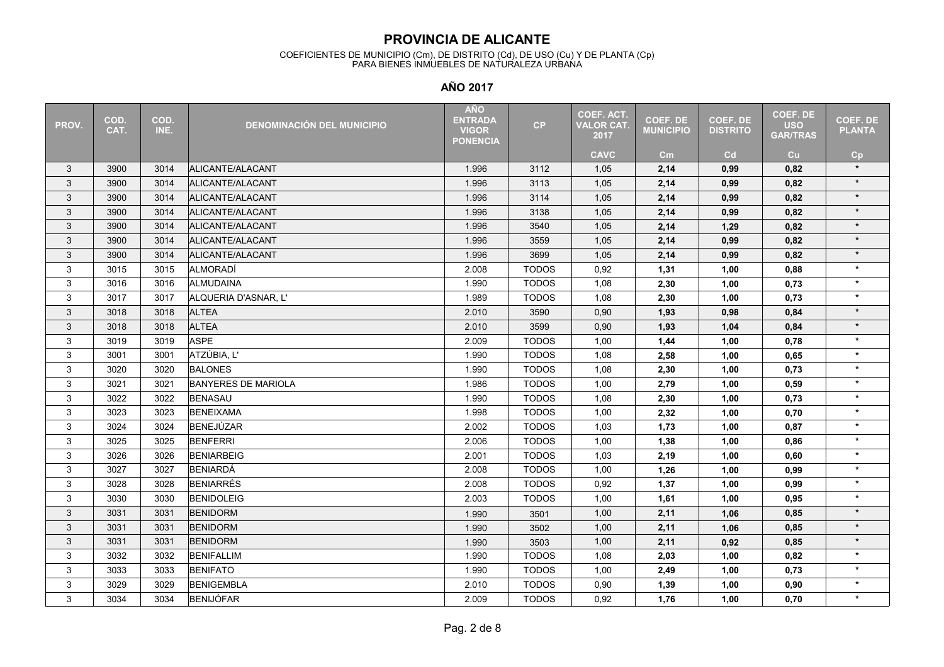#### COEFICIENTES DE MUNICIPIO (Cm), DE DISTRITO (Cd), DE USO (Cu) Y DE PLANTA (Cp) PARA BIENES INMUEBLES DE NATURALEZA URBANA

| PROV. | COD.<br>CAT. | COD.<br>INE. | <b>DENOMINACIÓN DEL MUNICIPIO</b> | <b>AÑO</b><br><b>ENTRADA</b><br><b>VIGOR</b><br><b>PONENCIA</b> | CP           | <b>COEF. ACT.</b><br><b>VALOR CAT.</b><br>2017 | <b>COEF. DE</b><br><b>MUNICIPIO</b> | <b>COEF. DE</b><br><b>DISTRITO</b> | COEF. DE<br><b>USO</b><br><b>GAR/TRAS</b> | <b>COEF. DE</b><br><b>PLANTA</b> |
|-------|--------------|--------------|-----------------------------------|-----------------------------------------------------------------|--------------|------------------------------------------------|-------------------------------------|------------------------------------|-------------------------------------------|----------------------------------|
|       |              |              |                                   |                                                                 |              | <b>CAVC</b>                                    | cm                                  | Cd                                 | Cu                                        | Cp                               |
| 3     | 3900         | 3014         | ALICANTE/ALACANT                  | 1.996                                                           | 3112         | 1,05                                           | 2,14                                | 0,99                               | 0,82                                      | $\star$                          |
| 3     | 3900         | 3014         | ALICANTE/ALACANT                  | 1.996                                                           | 3113         | 1,05                                           | 2,14                                | 0,99                               | 0,82                                      | $\star$                          |
| 3     | 3900         | 3014         | ALICANTE/ALACANT                  | 1.996                                                           | 3114         | 1,05                                           | 2,14                                | 0,99                               | 0,82                                      | $\star$                          |
| 3     | 3900         | 3014         | ALICANTE/ALACANT                  | 1.996                                                           | 3138         | 1,05                                           | 2,14                                | 0,99                               | 0,82                                      | $\star$                          |
| 3     | 3900         | 3014         | ALICANTE/ALACANT                  | 1.996                                                           | 3540         | 1,05                                           | 2,14                                | 1,29                               | 0,82                                      | $\star$                          |
| 3     | 3900         | 3014         | ALICANTE/ALACANT                  | 1.996                                                           | 3559         | 1,05                                           | 2,14                                | 0,99                               | 0,82                                      | $\star$                          |
| 3     | 3900         | 3014         | ALICANTE/ALACANT                  | 1.996                                                           | 3699         | 1,05                                           | 2,14                                | 0,99                               | 0,82                                      | $\star$                          |
| 3     | 3015         | 3015         | ALMORADÍ                          | 2.008                                                           | <b>TODOS</b> | 0,92                                           | 1,31                                | 1,00                               | 0,88                                      | $\star$                          |
| 3     | 3016         | 3016         | ALMUDAINA                         | 1.990                                                           | <b>TODOS</b> | 1,08                                           | 2,30                                | 1,00                               | 0,73                                      | $\star$                          |
| 3     | 3017         | 3017         | ALQUERIA D'ASNAR, L'              | 1.989                                                           | <b>TODOS</b> | 1,08                                           | 2,30                                | 1,00                               | 0,73                                      | $\star$                          |
| 3     | 3018         | 3018         | <b>ALTEA</b>                      | 2.010                                                           | 3590         | 0,90                                           | 1,93                                | 0,98                               | 0,84                                      | $\star$                          |
| 3     | 3018         | 3018         | <b>ALTEA</b>                      | 2.010                                                           | 3599         | 0,90                                           | 1,93                                | 1,04                               | 0,84                                      | $\star$                          |
| 3     | 3019         | 3019         | <b>ASPE</b>                       | 2.009                                                           | <b>TODOS</b> | 1,00                                           | 1,44                                | 1,00                               | 0,78                                      | $\star$                          |
| 3     | 3001         | 3001         | ATZÚBIA, L'                       | 1.990                                                           | <b>TODOS</b> | 1,08                                           | 2,58                                | 1,00                               | 0,65                                      | $\star$                          |
| 3     | 3020         | 3020         | <b>BALONES</b>                    | 1.990                                                           | <b>TODOS</b> | 1,08                                           | 2,30                                | 1,00                               | 0,73                                      | $\star$                          |
| 3     | 3021         | 3021         | <b>BANYERES DE MARIOLA</b>        | 1.986                                                           | <b>TODOS</b> | 1,00                                           | 2,79                                | 1,00                               | 0.59                                      | $\star$                          |
| 3     | 3022         | 3022         | <b>BENASAU</b>                    | 1.990                                                           | <b>TODOS</b> | 1,08                                           | 2,30                                | 1,00                               | 0,73                                      | $\star$                          |
| 3     | 3023         | 3023         | <b>BENEIXAMA</b>                  | 1.998                                                           | <b>TODOS</b> | 1,00                                           | 2,32                                | 1,00                               | 0,70                                      | $\star$                          |
| 3     | 3024         | 3024         | <b>BENEJÚZAR</b>                  | 2.002                                                           | <b>TODOS</b> | 1,03                                           | 1,73                                | 1,00                               | 0,87                                      | $\star$                          |
| 3     | 3025         | 3025         | <b>BENFERRI</b>                   | 2.006                                                           | <b>TODOS</b> | 1,00                                           | 1,38                                | 1,00                               | 0,86                                      | $\star$                          |
| 3     | 3026         | 3026         | <b>BENIARBEIG</b>                 | 2.001                                                           | <b>TODOS</b> | 1,03                                           | 2,19                                | 1,00                               | 0,60                                      | $\star$                          |
| 3     | 3027         | 3027         | <b>BENIARDÁ</b>                   | 2.008                                                           | <b>TODOS</b> | 1,00                                           | 1,26                                | 1,00                               | 0,99                                      | $\star$                          |
| 3     | 3028         | 3028         | <b>BENIARRÉS</b>                  | 2.008                                                           | <b>TODOS</b> | 0,92                                           | 1,37                                | 1,00                               | 0,99                                      | $\star$                          |
| 3     | 3030         | 3030         | <b>BENIDOLEIG</b>                 | 2.003                                                           | <b>TODOS</b> | 1,00                                           | 1,61                                | 1,00                               | 0.95                                      | $\star$                          |
| 3     | 3031         | 3031         | <b>BENIDORM</b>                   | 1.990                                                           | 3501         | 1,00                                           | 2,11                                | 1,06                               | 0,85                                      | $\star$                          |
| 3     | 3031         | 3031         | <b>BENIDORM</b>                   | 1.990                                                           | 3502         | 1,00                                           | 2,11                                | 1,06                               | 0,85                                      | $\star$                          |
| 3     | 3031         | 3031         | <b>BENIDORM</b>                   | 1.990                                                           | 3503         | 1,00                                           | 2,11                                | 0,92                               | 0,85                                      | $\star$                          |
| 3     | 3032         | 3032         | <b>BENIFALLIM</b>                 | 1.990                                                           | <b>TODOS</b> | 1,08                                           | 2,03                                | 1,00                               | 0,82                                      | $\star$                          |
| 3     | 3033         | 3033         | <b>BENIFATO</b>                   | 1.990                                                           | <b>TODOS</b> | 1,00                                           | 2,49                                | 1,00                               | 0,73                                      | $\star$                          |
| 3     | 3029         | 3029         | <b>BENIGEMBLA</b>                 | 2.010                                                           | <b>TODOS</b> | 0,90                                           | 1,39                                | 1,00                               | 0,90                                      | $\star$                          |
| 3     | 3034         | 3034         | <b>BENIJÓFAR</b>                  | 2.009                                                           | <b>TODOS</b> | 0,92                                           | 1,76                                | 1,00                               | 0,70                                      | $\star$                          |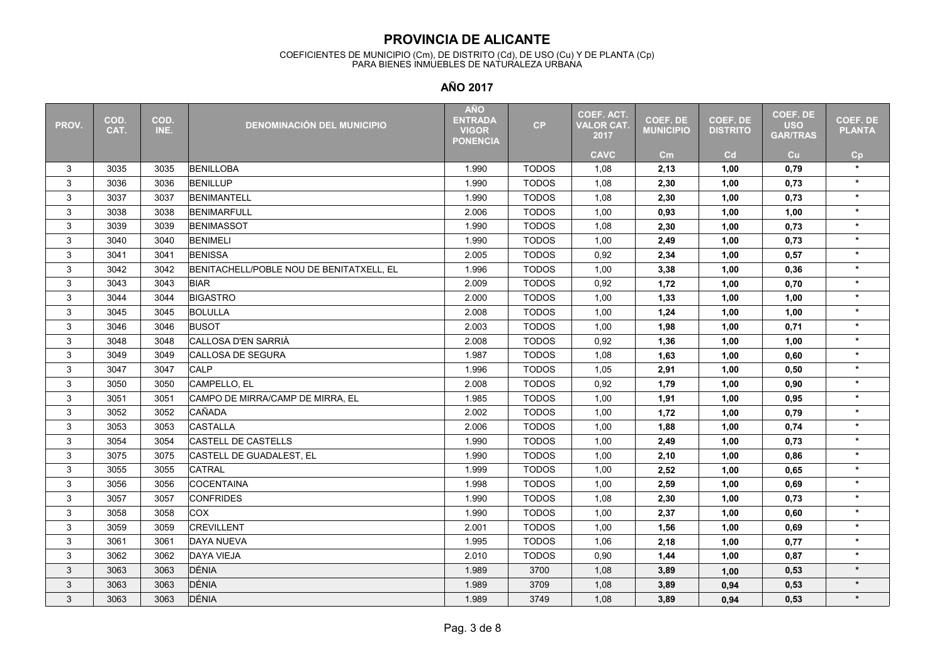#### COEFICIENTES DE MUNICIPIO (Cm), DE DISTRITO (Cd), DE USO (Cu) Y DE PLANTA (Cp) PARA BIENES INMUEBLES DE NATURALEZA URBANA

| PROV. | COD.<br>CAT. | COD.<br>INE. | <b>DENOMINACIÓN DEL MUNICIPIO</b>        | <b>AÑO</b><br><b>ENTRADA</b><br><b>VIGOR</b><br><b>PONENCIA</b> | CP           | <b>COEF. ACT.</b><br><b>VALOR CAT.</b><br>2017 | <b>COEF. DE</b><br><b>MUNICIPIO</b> | <b>COEF. DE</b><br><b>DISTRITO</b> | COEF. DE<br><b>USO</b><br><b>GAR/TRAS</b> | <b>COEF. DE</b><br><b>PLANTA</b> |
|-------|--------------|--------------|------------------------------------------|-----------------------------------------------------------------|--------------|------------------------------------------------|-------------------------------------|------------------------------------|-------------------------------------------|----------------------------------|
|       |              |              |                                          |                                                                 |              | <b>CAVC</b>                                    | cm <sub>2</sub>                     | Cd                                 | cu                                        | Cp                               |
| 3     | 3035         | 3035         | <b>BENILLOBA</b>                         | 1.990                                                           | <b>TODOS</b> | 1,08                                           | 2,13                                | 1,00                               | 0,79                                      | $\star$                          |
| 3     | 3036         | 3036         | <b>BENILLUP</b>                          | 1.990                                                           | <b>TODOS</b> | 1,08                                           | 2,30                                | 1.00                               | 0,73                                      | $\star$                          |
| 3     | 3037         | 3037         | <b>BENIMANTELL</b>                       | 1.990                                                           | <b>TODOS</b> | 1,08                                           | 2,30                                | 1,00                               | 0,73                                      | $\star$                          |
| 3     | 3038         | 3038         | <b>BENIMARFULL</b>                       | 2.006                                                           | <b>TODOS</b> | 1,00                                           | 0,93                                | 1,00                               | 1,00                                      | $\star$                          |
| 3     | 3039         | 3039         | <b>BENIMASSOT</b>                        | 1.990                                                           | <b>TODOS</b> | 1,08                                           | 2,30                                | 1,00                               | 0,73                                      | $\star$                          |
| 3     | 3040         | 3040         | <b>BENIMELI</b>                          | 1.990                                                           | <b>TODOS</b> | 1,00                                           | 2,49                                | 1,00                               | 0,73                                      | $\star$                          |
| 3     | 3041         | 3041         | <b>BENISSA</b>                           | 2.005                                                           | <b>TODOS</b> | 0,92                                           | 2,34                                | 1,00                               | 0,57                                      | $\star$                          |
| 3     | 3042         | 3042         | BENITACHELL/POBLE NOU DE BENITATXELL. EL | 1.996                                                           | <b>TODOS</b> | 1,00                                           | 3,38                                | 1,00                               | 0,36                                      | $\star$                          |
| 3     | 3043         | 3043         | <b>BIAR</b>                              | 2.009                                                           | <b>TODOS</b> | 0,92                                           | 1,72                                | 1,00                               | 0,70                                      | $\star$                          |
| 3     | 3044         | 3044         | <b>BIGASTRO</b>                          | 2.000                                                           | <b>TODOS</b> | 1,00                                           | 1,33                                | 1,00                               | 1,00                                      | $\star$                          |
| 3     | 3045         | 3045         | <b>BOLULLA</b>                           | 2.008                                                           | <b>TODOS</b> | 1,00                                           | 1,24                                | 1,00                               | 1,00                                      | $\star$                          |
| 3     | 3046         | 3046         | <b>BUSOT</b>                             | 2.003                                                           | <b>TODOS</b> | 1,00                                           | 1,98                                | 1,00                               | 0,71                                      | $\star$                          |
| 3     | 3048         | 3048         | CALLOSA D'EN SARRIÀ                      | 2.008                                                           | <b>TODOS</b> | 0,92                                           | 1,36                                | 1,00                               | 1,00                                      | $\star$                          |
| 3     | 3049         | 3049         | <b>CALLOSA DE SEGURA</b>                 | 1.987                                                           | <b>TODOS</b> | 1,08                                           | 1,63                                | 1,00                               | 0,60                                      | $\star$                          |
| 3     | 3047         | 3047         | CALP                                     | 1.996                                                           | <b>TODOS</b> | 1,05                                           | 2,91                                | 1,00                               | 0,50                                      | $\star$                          |
| 3     | 3050         | 3050         | CAMPELLO, EL                             | 2.008                                                           | <b>TODOS</b> | 0,92                                           | 1,79                                | 1.00                               | 0.90                                      | $\star$                          |
| 3     | 3051         | 3051         | CAMPO DE MIRRA/CAMP DE MIRRA. EL         | 1.985                                                           | <b>TODOS</b> | 1,00                                           | 1,91                                | 1,00                               | 0,95                                      | $\star$                          |
| 3     | 3052         | 3052         | CAÑADA                                   | 2.002                                                           | <b>TODOS</b> | 1,00                                           | 1,72                                | 1,00                               | 0,79                                      | $\star$                          |
| 3     | 3053         | 3053         | <b>CASTALLA</b>                          | 2.006                                                           | <b>TODOS</b> | 1,00                                           | 1,88                                | 1,00                               | 0,74                                      | $\star$                          |
| 3     | 3054         | 3054         | <b>CASTELL DE CASTELLS</b>               | 1.990                                                           | <b>TODOS</b> | 1,00                                           | 2,49                                | 1,00                               | 0,73                                      | $\star$                          |
| 3     | 3075         | 3075         | CASTELL DE GUADALEST, EL                 | 1.990                                                           | <b>TODOS</b> | 1,00                                           | 2,10                                | 1,00                               | 0,86                                      | $\star$                          |
| 3     | 3055         | 3055         | <b>CATRAL</b>                            | 1.999                                                           | <b>TODOS</b> | 1,00                                           | 2,52                                | 1,00                               | 0,65                                      | $\star$                          |
| 3     | 3056         | 3056         | <b>COCENTAINA</b>                        | 1.998                                                           | <b>TODOS</b> | 1,00                                           | 2,59                                | 1,00                               | 0,69                                      | $\star$                          |
| 3     | 3057         | 3057         | <b>CONFRIDES</b>                         | 1.990                                                           | <b>TODOS</b> | 1,08                                           | 2,30                                | 1,00                               | 0,73                                      | $\star$                          |
| 3     | 3058         | 3058         | <b>COX</b>                               | 1.990                                                           | <b>TODOS</b> | 1,00                                           | 2,37                                | 1,00                               | 0,60                                      | $\star$                          |
| 3     | 3059         | 3059         | <b>CREVILLENT</b>                        | 2.001                                                           | <b>TODOS</b> | 1,00                                           | 1,56                                | 1,00                               | 0,69                                      | $\star$                          |
| 3     | 3061         | 3061         | <b>DAYA NUEVA</b>                        | 1.995                                                           | <b>TODOS</b> | 1,06                                           | 2,18                                | 1,00                               | 0,77                                      | $\star$                          |
| 3     | 3062         | 3062         | <b>DAYA VIEJA</b>                        | 2.010                                                           | <b>TODOS</b> | 0,90                                           | 1,44                                | 1,00                               | 0,87                                      | $\star$                          |
| 3     | 3063         | 3063         | DÉNIA                                    | 1.989                                                           | 3700         | 1,08                                           | 3,89                                | 1,00                               | 0,53                                      | $\star$                          |
| 3     | 3063         | 3063         | DÉNIA                                    | 1.989                                                           | 3709         | 1,08                                           | 3,89                                | 0,94                               | 0,53                                      | $\star$                          |
| 3     | 3063         | 3063         | DÉNIA                                    | 1.989                                                           | 3749         | 1,08                                           | 3,89                                | 0,94                               | 0,53                                      | $\star$                          |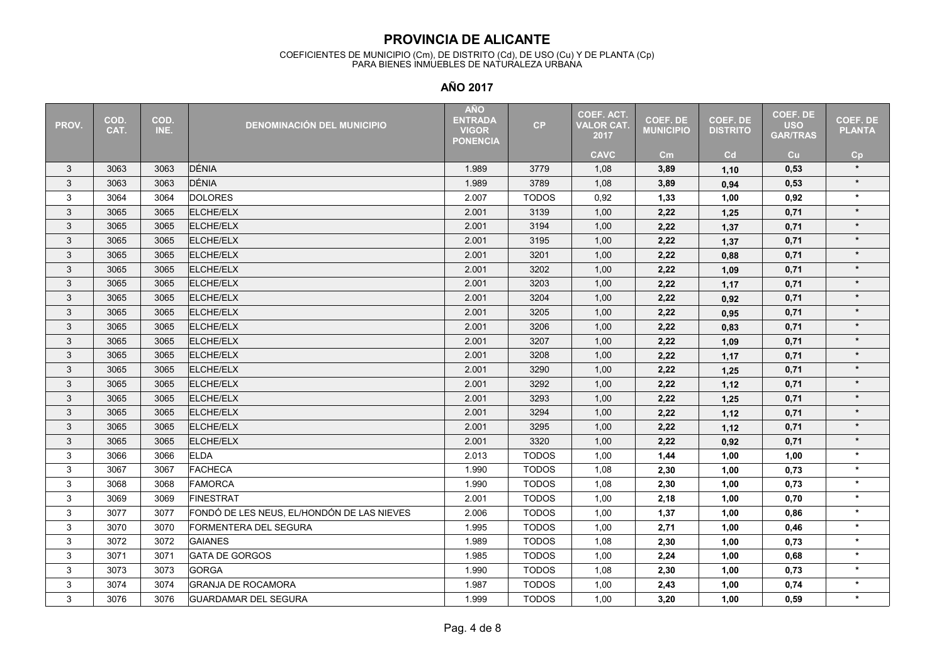#### COEFICIENTES DE MUNICIPIO (Cm), DE DISTRITO (Cd), DE USO (Cu) Y DE PLANTA (Cp) PARA BIENES INMUEBLES DE NATURALEZA URBANA

| PROV. | COD.<br>CAT. | COD.<br>INE. | <b>DENOMINACIÓN DEL MUNICIPIO</b>          | <b>AÑO</b><br><b>ENTRADA</b><br><b>VIGOR</b><br><b>PONENCIA</b> | CP           | <b>COEF. ACT.</b><br><b>VALOR CAT.</b><br>2017 | <b>COEF. DE</b><br><b>MUNICIPIO</b> | <b>COEF. DE</b><br><b>DISTRITO</b> | COEF. DE<br><b>USO</b><br><b>GAR/TRAS</b> | COEF. DE<br><b>PLANTA</b> |
|-------|--------------|--------------|--------------------------------------------|-----------------------------------------------------------------|--------------|------------------------------------------------|-------------------------------------|------------------------------------|-------------------------------------------|---------------------------|
|       |              |              |                                            |                                                                 |              | <b>CAVC</b>                                    | cm                                  | Cd                                 | Cu                                        | Cp                        |
| 3     | 3063         | 3063         | DÉNIA                                      | 1.989                                                           | 3779         | 1,08                                           | 3,89                                | 1,10                               | 0,53                                      | $\star$                   |
| 3     | 3063         | 3063         | DÉNIA                                      | 1.989                                                           | 3789         | 1,08                                           | 3,89                                | 0,94                               | 0,53                                      | $\star$                   |
| 3     | 3064         | 3064         | <b>DOLORES</b>                             | 2.007                                                           | <b>TODOS</b> | 0,92                                           | 1,33                                | 1,00                               | 0,92                                      | $\star$                   |
| 3     | 3065         | 3065         | ELCHE/ELX                                  | 2.001                                                           | 3139         | 1,00                                           | 2,22                                | 1,25                               | 0,71                                      | $\star$                   |
| 3     | 3065         | 3065         | ELCHE/ELX                                  | 2.001                                                           | 3194         | 1,00                                           | 2,22                                | 1,37                               | 0,71                                      | $\star$                   |
| 3     | 3065         | 3065         | ELCHE/ELX                                  | 2.001                                                           | 3195         | 1,00                                           | 2,22                                | 1,37                               | 0,71                                      | $\star$                   |
| 3     | 3065         | 3065         | ELCHE/ELX                                  | 2.001                                                           | 3201         | 1,00                                           | 2,22                                | 0,88                               | 0,71                                      | $\star$                   |
| 3     | 3065         | 3065         | ELCHE/ELX                                  | 2.001                                                           | 3202         | 1,00                                           | 2,22                                | 1,09                               | 0,71                                      | $\star$                   |
| 3     | 3065         | 3065         | ELCHE/ELX                                  | 2.001                                                           | 3203         | 1,00                                           | 2,22                                | 1,17                               | 0,71                                      | $\star$                   |
| 3     | 3065         | 3065         | ELCHE/ELX                                  | 2.001                                                           | 3204         | 1,00                                           | 2,22                                | 0,92                               | 0,71                                      | $\star$                   |
| 3     | 3065         | 3065         | <b>ELCHE/ELX</b>                           | 2.001                                                           | 3205         | 1,00                                           | 2,22                                | 0,95                               | 0,71                                      | $\star$                   |
| 3     | 3065         | 3065         | ELCHE/ELX                                  | 2.001                                                           | 3206         | 1,00                                           | 2,22                                | 0,83                               | 0,71                                      | $\star$                   |
| 3     | 3065         | 3065         | ELCHE/ELX                                  | 2.001                                                           | 3207         | 1,00                                           | 2,22                                | 1,09                               | 0,71                                      | $\star$                   |
| 3     | 3065         | 3065         | ELCHE/ELX                                  | 2.001                                                           | 3208         | 1,00                                           | 2,22                                | 1,17                               | 0,71                                      | $\star$                   |
| 3     | 3065         | 3065         | ELCHE/ELX                                  | 2.001                                                           | 3290         | 1,00                                           | 2,22                                | 1,25                               | 0,71                                      | $\star$                   |
| 3     | 3065         | 3065         | ELCHE/ELX                                  | 2.001                                                           | 3292         | 1,00                                           | 2,22                                | 1,12                               | 0,71                                      | $\star$                   |
| 3     | 3065         | 3065         | ELCHE/ELX                                  | 2.001                                                           | 3293         | 1,00                                           | 2,22                                | 1,25                               | 0,71                                      | $\star$                   |
| 3     | 3065         | 3065         | ELCHE/ELX                                  | 2.001                                                           | 3294         | 1,00                                           | 2,22                                | 1,12                               | 0,71                                      | $\star$                   |
| 3     | 3065         | 3065         | ELCHE/ELX                                  | 2.001                                                           | 3295         | 1,00                                           | 2,22                                | 1,12                               | 0,71                                      | $\star$                   |
| 3     | 3065         | 3065         | ELCHE/ELX                                  | 2.001                                                           | 3320         | 1,00                                           | 2,22                                | 0,92                               | 0,71                                      | $\star$                   |
| 3     | 3066         | 3066         | <b>ELDA</b>                                | 2.013                                                           | <b>TODOS</b> | 1,00                                           | 1,44                                | 1,00                               | 1,00                                      | $\star$                   |
| 3     | 3067         | 3067         | <b>FACHECA</b>                             | 1.990                                                           | <b>TODOS</b> | 1,08                                           | 2,30                                | 1,00                               | 0,73                                      | $\star$                   |
| 3     | 3068         | 3068         | <b>FAMORCA</b>                             | 1.990                                                           | <b>TODOS</b> | 1,08                                           | 2,30                                | 1,00                               | 0,73                                      | $\star$                   |
| 3     | 3069         | 3069         | FINESTRAT                                  | 2.001                                                           | <b>TODOS</b> | 1,00                                           | 2,18                                | 1,00                               | 0,70                                      | $\star$                   |
| 3     | 3077         | 3077         | FONDÓ DE LES NEUS, EL/HONDÓN DE LAS NIEVES | 2.006                                                           | <b>TODOS</b> | 1,00                                           | 1,37                                | 1,00                               | 0,86                                      | $\star$                   |
| 3     | 3070         | 3070         | FORMENTERA DEL SEGURA                      | 1.995                                                           | <b>TODOS</b> | 1,00                                           | 2,71                                | 1,00                               | 0,46                                      | $\star$                   |
| 3     | 3072         | 3072         | <b>GAIANES</b>                             | 1.989                                                           | <b>TODOS</b> | 1,08                                           | 2,30                                | 1,00                               | 0,73                                      | $\star$                   |
| 3     | 3071         | 3071         | <b>GATA DE GORGOS</b>                      | 1.985                                                           | <b>TODOS</b> | 1,00                                           | 2,24                                | 1,00                               | 0,68                                      | $\star$                   |
| 3     | 3073         | 3073         | <b>GORGA</b>                               | 1.990                                                           | <b>TODOS</b> | 1,08                                           | 2,30                                | 1,00                               | 0,73                                      | $\star$                   |
| 3     | 3074         | 3074         | <b>GRANJA DE ROCAMORA</b>                  | 1.987                                                           | <b>TODOS</b> | 1,00                                           | 2,43                                | 1,00                               | 0,74                                      | $\star$                   |
| 3     | 3076         | 3076         | <b>GUARDAMAR DEL SEGURA</b>                | 1.999                                                           | <b>TODOS</b> | 1,00                                           | 3,20                                | 1,00                               | 0,59                                      | $\star$                   |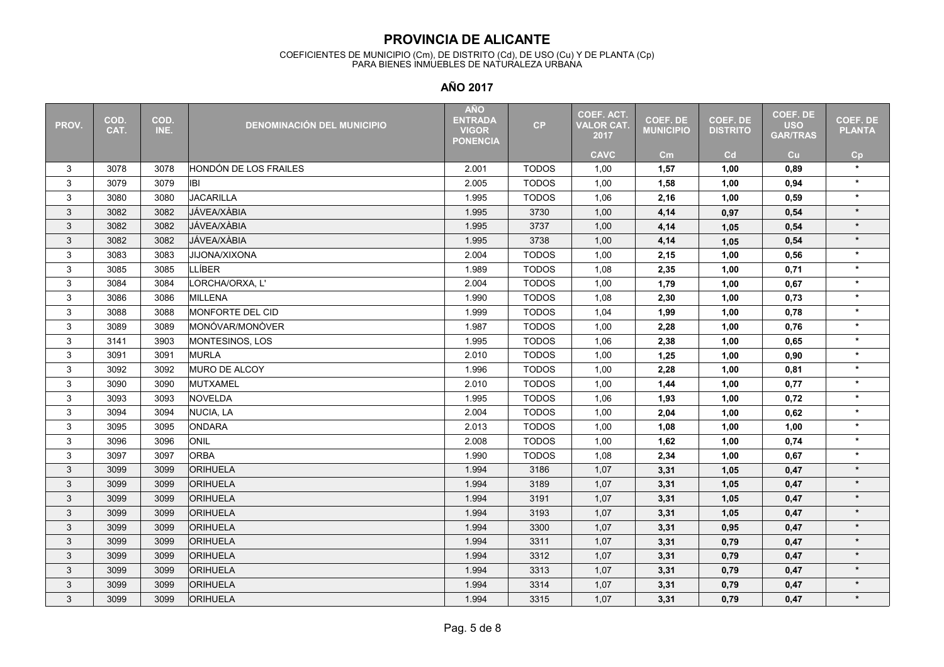#### COEFICIENTES DE MUNICIPIO (Cm), DE DISTRITO (Cd), DE USO (Cu) Y DE PLANTA (Cp) PARA BIENES INMUEBLES DE NATURALEZA URBANA

| PROV.          | COD.<br>CAT. | COD.<br>INE. | <b>DENOMINACIÓN DEL MUNICIPIO</b> | <b>AÑO</b><br><b>ENTRADA</b><br><b>VIGOR</b><br><b>PONENCIA</b> | CP           | <b>COEF. ACT.</b><br><b>VALOR CAT.</b><br>2017 | <b>COEF. DE</b><br><b>MUNICIPIO</b> | <b>COEF. DE</b><br><b>DISTRITO</b> | COEF. DE<br><b>USO</b><br><b>GAR/TRAS</b> | <b>COEF. DE</b><br><b>PLANTA</b> |
|----------------|--------------|--------------|-----------------------------------|-----------------------------------------------------------------|--------------|------------------------------------------------|-------------------------------------|------------------------------------|-------------------------------------------|----------------------------------|
|                |              |              |                                   |                                                                 |              | <b>CAVC</b>                                    | $\mathsf{cm}$                       | Cd                                 | Cu                                        | Cp                               |
| 3              | 3078         | 3078         | HONDÓN DE LOS FRAILES             | 2.001                                                           | <b>TODOS</b> | 1,00                                           | 1,57                                | 1,00                               | 0.89                                      | $\star$                          |
| 3              | 3079         | 3079         | <b>IBI</b>                        | 2.005                                                           | <b>TODOS</b> | 1,00                                           | 1,58                                | 1,00                               | 0,94                                      | $\star$                          |
| $\mathfrak{S}$ | 3080         | 3080         | <b>JACARILLA</b>                  | 1.995                                                           | <b>TODOS</b> | 1,06                                           | 2,16                                | 1,00                               | 0,59                                      | $\star$                          |
| 3              | 3082         | 3082         | JÁVEA/XÀBIA                       | 1.995                                                           | 3730         | 1,00                                           | 4,14                                | 0,97                               | 0,54                                      | $\star$                          |
| 3              | 3082         | 3082         | JÁVEA/XÀBIA                       | 1.995                                                           | 3737         | 1,00                                           | 4,14                                | 1,05                               | 0,54                                      | $\star$                          |
| 3              | 3082         | 3082         | JÁVEA/XÀBIA                       | 1.995                                                           | 3738         | 1,00                                           | 4,14                                | 1,05                               | 0,54                                      | $\star$                          |
| 3              | 3083         | 3083         | <b>JIJONA/XIXONA</b>              | 2.004                                                           | <b>TODOS</b> | 1,00                                           | 2,15                                | 1,00                               | 0,56                                      | $\star$                          |
| 3              | 3085         | 3085         | <b>LLÍBER</b>                     | 1.989                                                           | <b>TODOS</b> | 1,08                                           | 2,35                                | 1,00                               | 0.71                                      | $\star$                          |
| 3              | 3084         | 3084         | LORCHA/ORXA, L'                   | 2.004                                                           | <b>TODOS</b> | 1,00                                           | 1,79                                | 1,00                               | 0.67                                      | $\star$                          |
| 3              | 3086         | 3086         | <b>MILLENA</b>                    | 1.990                                                           | <b>TODOS</b> | 1,08                                           | 2,30                                | 1,00                               | 0,73                                      | $\star$                          |
| 3              | 3088         | 3088         | MONFORTE DEL CID                  | 1.999                                                           | <b>TODOS</b> | 1,04                                           | 1,99                                | 1,00                               | 0,78                                      | $\star$                          |
| 3              | 3089         | 3089         | MONÓVAR/MONÒVER                   | 1.987                                                           | <b>TODOS</b> | 1,00                                           | 2,28                                | 1,00                               | 0,76                                      | $\star$                          |
| 3              | 3141         | 3903         | MONTESINOS, LOS                   | 1.995                                                           | <b>TODOS</b> | 1,06                                           | 2,38                                | 1,00                               | 0,65                                      | $\star$                          |
| 3              | 3091         | 3091         | <b>MURLA</b>                      | 2.010                                                           | <b>TODOS</b> | 1,00                                           | 1,25                                | 1,00                               | 0,90                                      | $\star$                          |
| 3              | 3092         | 3092         | MURO DE ALCOY                     | 1.996                                                           | <b>TODOS</b> | 1,00                                           | 2,28                                | 1,00                               | 0,81                                      | $\star$                          |
| 3              | 3090         | 3090         | <b>MUTXAMEL</b>                   | 2.010                                                           | <b>TODOS</b> | 1,00                                           | 1,44                                | 1,00                               | 0,77                                      | $\star$                          |
| 3              | 3093         | 3093         | <b>NOVELDA</b>                    | 1.995                                                           | <b>TODOS</b> | 1,06                                           | 1,93                                | 1,00                               | 0,72                                      | $\star$                          |
| 3              | 3094         | 3094         | <b>NUCIA, LA</b>                  | 2.004                                                           | <b>TODOS</b> | 1,00                                           | 2,04                                | 1,00                               | 0,62                                      | $\star$                          |
| 3              | 3095         | 3095         | <b>ONDARA</b>                     | 2.013                                                           | <b>TODOS</b> | 1,00                                           | 1,08                                | 1,00                               | 1,00                                      | $\star$                          |
| 3              | 3096         | 3096         | ONIL                              | 2.008                                                           | <b>TODOS</b> | 1,00                                           | 1,62                                | 1,00                               | 0,74                                      | $\star$                          |
| 3              | 3097         | 3097         | <b>ORBA</b>                       | 1.990                                                           | <b>TODOS</b> | 1,08                                           | 2,34                                | 1,00                               | 0,67                                      | $\star$                          |
| 3              | 3099         | 3099         | <b>ORIHUELA</b>                   | 1.994                                                           | 3186         | 1,07                                           | 3,31                                | 1,05                               | 0,47                                      | $\star$                          |
| 3              | 3099         | 3099         | <b>ORIHUELA</b>                   | 1.994                                                           | 3189         | 1,07                                           | 3,31                                | 1,05                               | 0,47                                      | $\star$                          |
| 3              | 3099         | 3099         | <b>ORIHUELA</b>                   | 1.994                                                           | 3191         | 1,07                                           | 3,31                                | 1,05                               | 0,47                                      | $\star$                          |
| 3              | 3099         | 3099         | <b>ORIHUELA</b>                   | 1.994                                                           | 3193         | 1,07                                           | 3,31                                | 1,05                               | 0,47                                      | $\star$                          |
| 3              | 3099         | 3099         | <b>ORIHUELA</b>                   | 1.994                                                           | 3300         | 1,07                                           | 3,31                                | 0,95                               | 0,47                                      | $\star$                          |
| 3              | 3099         | 3099         | <b>ORIHUELA</b>                   | 1.994                                                           | 3311         | 1,07                                           | 3,31                                | 0,79                               | 0,47                                      | $\star$                          |
| 3              | 3099         | 3099         | <b>ORIHUELA</b>                   | 1.994                                                           | 3312         | 1,07                                           | 3,31                                | 0,79                               | 0,47                                      | $\star$                          |
| 3              | 3099         | 3099         | <b>ORIHUELA</b>                   | 1.994                                                           | 3313         | 1,07                                           | 3,31                                | 0,79                               | 0,47                                      | $\star$                          |
| 3              | 3099         | 3099         | <b>ORIHUELA</b>                   | 1.994                                                           | 3314         | 1,07                                           | 3,31                                | 0,79                               | 0,47                                      | $\star$                          |
| 3              | 3099         | 3099         | <b>ORIHUELA</b>                   | 1.994                                                           | 3315         | 1,07                                           | 3,31                                | 0,79                               | 0,47                                      | $\star$                          |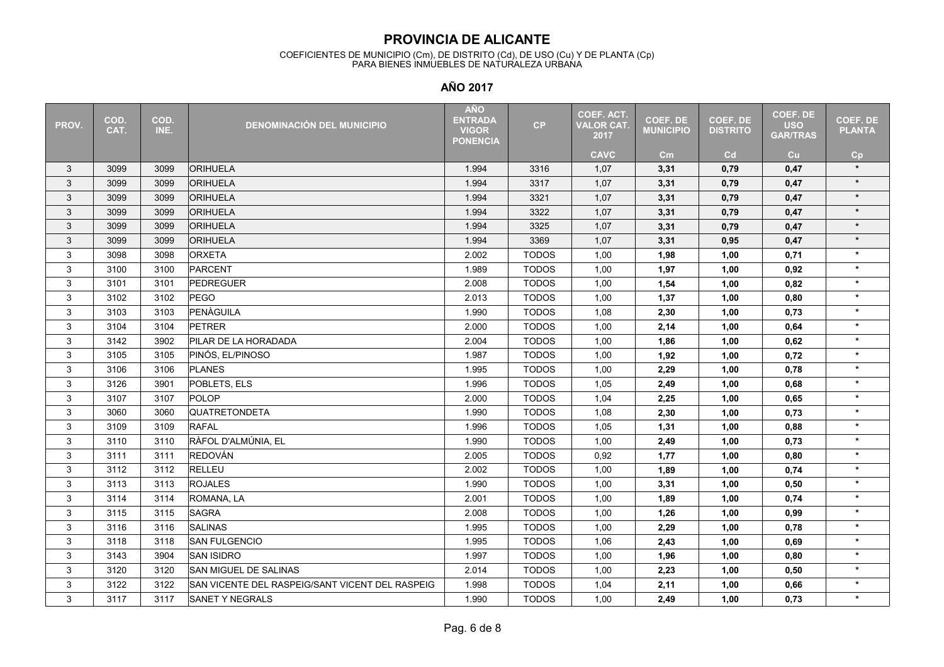#### COEFICIENTES DE MUNICIPIO (Cm), DE DISTRITO (Cd), DE USO (Cu) Y DE PLANTA (Cp) PARA BIENES INMUEBLES DE NATURALEZA URBANA

| PROV.          | COD.<br>CAT. | COD.<br>INE. | <b>DENOMINACIÓN DEL MUNICIPIO</b>               | <b>AÑO</b><br><b>ENTRADA</b><br><b>VIGOR</b><br><b>PONENCIA</b> | CP           | <b>COEF. ACT.</b><br><b>VALOR CAT.</b><br>2017 | <b>COEF. DE</b><br><b>MUNICIPIO</b> | <b>COEF. DE</b><br><b>DISTRITO</b> | COEF. DE<br><b>USO</b><br><b>GAR/TRAS</b> | <b>COEF. DE</b><br><b>PLANTA</b> |
|----------------|--------------|--------------|-------------------------------------------------|-----------------------------------------------------------------|--------------|------------------------------------------------|-------------------------------------|------------------------------------|-------------------------------------------|----------------------------------|
|                |              |              |                                                 |                                                                 |              | <b>CAVC</b>                                    | cm <sub>2</sub>                     | Cd                                 | cu                                        | Cp                               |
| 3              | 3099         | 3099         | ORIHUELA                                        | 1.994                                                           | 3316         | 1,07                                           | 3,31                                | 0,79                               | 0,47                                      | $\star$                          |
| 3              | 3099         | 3099         | <b>ORIHUELA</b>                                 | 1.994                                                           | 3317         | 1,07                                           | 3,31                                | 0,79                               | 0,47                                      | $\star$                          |
| 3              | 3099         | 3099         | <b>ORIHUELA</b>                                 | 1.994                                                           | 3321         | 1,07                                           | 3,31                                | 0,79                               | 0,47                                      | $\star$                          |
| 3              | 3099         | 3099         | <b>ORIHUELA</b>                                 | 1.994                                                           | 3322         | 1,07                                           | 3,31                                | 0,79                               | 0,47                                      | $\star$                          |
| 3              | 3099         | 3099         | <b>ORIHUELA</b>                                 | 1.994                                                           | 3325         | 1,07                                           | 3,31                                | 0,79                               | 0,47                                      | $\star$                          |
| 3              | 3099         | 3099         | <b>ORIHUELA</b>                                 | 1.994                                                           | 3369         | 1,07                                           | 3,31                                | 0,95                               | 0,47                                      | $\star$                          |
| 3              | 3098         | 3098         | <b>ORXETA</b>                                   | 2.002                                                           | <b>TODOS</b> | 1,00                                           | 1,98                                | 1,00                               | 0,71                                      | $\star$                          |
| 3              | 3100         | 3100         | PARCENT                                         | 1.989                                                           | <b>TODOS</b> | 1,00                                           | 1,97                                | 1,00                               | 0,92                                      | $\star$                          |
| 3              | 3101         | 3101         | <b>PEDREGUER</b>                                | 2.008                                                           | <b>TODOS</b> | 1,00                                           | 1,54                                | 1,00                               | 0.82                                      | $\star$                          |
| 3              | 3102         | 3102         | PEGO                                            | 2.013                                                           | <b>TODOS</b> | 1,00                                           | 1,37                                | 1,00                               | 0,80                                      | $\star$                          |
| 3              | 3103         | 3103         | PENÀGUILA                                       | 1.990                                                           | <b>TODOS</b> | 1,08                                           | 2,30                                | 1,00                               | 0,73                                      | $\star$                          |
| $\mathfrak{S}$ | 3104         | 3104         | <b>PETRER</b>                                   | 2.000                                                           | <b>TODOS</b> | 1,00                                           | 2,14                                | 1,00                               | 0,64                                      | $\star$                          |
| 3              | 3142         | 3902         | PILAR DE LA HORADADA                            | 2.004                                                           | <b>TODOS</b> | 1,00                                           | 1,86                                | 1,00                               | 0,62                                      | $\star$                          |
| 3              | 3105         | 3105         | PINÓS, EL/PINOSO                                | 1.987                                                           | <b>TODOS</b> | 1,00                                           | 1,92                                | 1,00                               | 0,72                                      | $\star$                          |
| 3              | 3106         | 3106         | <b>PLANES</b>                                   | 1.995                                                           | <b>TODOS</b> | 1,00                                           | 2,29                                | 1,00                               | 0,78                                      | $\star$                          |
| 3              | 3126         | 3901         | POBLETS, ELS                                    | 1.996                                                           | <b>TODOS</b> | 1,05                                           | 2,49                                | 1,00                               | 0,68                                      | $\star$                          |
| 3              | 3107         | 3107         | POLOP                                           | 2.000                                                           | <b>TODOS</b> | 1,04                                           | 2,25                                | 1,00                               | 0,65                                      | $\star$                          |
| 3              | 3060         | 3060         | QUATRETONDETA                                   | 1.990                                                           | <b>TODOS</b> | 1,08                                           | 2,30                                | 1,00                               | 0,73                                      | $\star$                          |
| 3              | 3109         | 3109         | <b>RAFAL</b>                                    | 1.996                                                           | <b>TODOS</b> | 1,05                                           | 1,31                                | 1,00                               | 0,88                                      | $\star$                          |
| 3              | 3110         | 3110         | RÀFOL D'ALMÚNIA, EL                             | 1.990                                                           | <b>TODOS</b> | 1,00                                           | 2,49                                | 1,00                               | 0,73                                      | $\star$                          |
| 3              | 3111         | 3111         | <b>REDOVÁN</b>                                  | 2.005                                                           | <b>TODOS</b> | 0,92                                           | 1,77                                | 1,00                               | 0,80                                      | $\star$                          |
| 3              | 3112         | 3112         | <b>RELLEU</b>                                   | 2.002                                                           | <b>TODOS</b> | 1,00                                           | 1,89                                | 1,00                               | 0,74                                      | $\star$                          |
| 3              | 3113         | 3113         | <b>ROJALES</b>                                  | 1.990                                                           | <b>TODOS</b> | 1,00                                           | 3,31                                | 1,00                               | 0,50                                      | $\star$                          |
| 3              | 3114         | 3114         | ROMANA, LA                                      | 2.001                                                           | <b>TODOS</b> | 1,00                                           | 1,89                                | 1,00                               | 0,74                                      | $\star$                          |
| 3              | 3115         | 3115         | <b>SAGRA</b>                                    | 2.008                                                           | <b>TODOS</b> | 1,00                                           | 1,26                                | 1,00                               | 0,99                                      | $\star$                          |
| 3              | 3116         | 3116         | <b>SALINAS</b>                                  | 1.995                                                           | <b>TODOS</b> | 1,00                                           | 2,29                                | 1,00                               | 0,78                                      | $\star$                          |
| 3              | 3118         | 3118         | <b>SAN FULGENCIO</b>                            | 1.995                                                           | <b>TODOS</b> | 1,06                                           | 2,43                                | 1,00                               | 0,69                                      | $\star$                          |
| 3              | 3143         | 3904         | <b>SAN ISIDRO</b>                               | 1.997                                                           | <b>TODOS</b> | 1,00                                           | 1,96                                | 1,00                               | 0,80                                      | $\star$                          |
| 3              | 3120         | 3120         | SAN MIGUEL DE SALINAS                           | 2.014                                                           | <b>TODOS</b> | 1,00                                           | 2,23                                | 1,00                               | 0,50                                      | $\star$                          |
| 3              | 3122         | 3122         | SAN VICENTE DEL RASPEIG/SANT VICENT DEL RASPEIG | 1.998                                                           | <b>TODOS</b> | 1,04                                           | 2,11                                | 1,00                               | 0,66                                      | $\star$                          |
| 3              | 3117         | 3117         | SANET Y NEGRALS                                 | 1.990                                                           | <b>TODOS</b> | 1,00                                           | 2,49                                | 1,00                               | 0,73                                      | $\star$                          |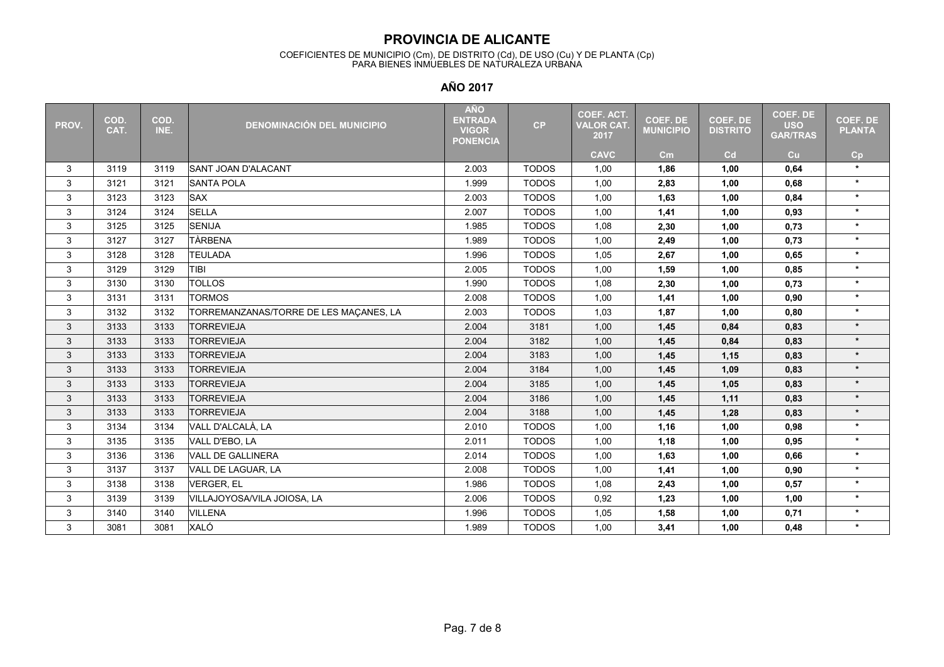#### COEFICIENTES DE MUNICIPIO (Cm), DE DISTRITO (Cd), DE USO (Cu) Y DE PLANTA (Cp) PARA BIENES INMUEBLES DE NATURALEZA URBANA

| PROV.                     | COD.<br>CAT. | COD.<br>INE. | <b>DENOMINACIÓN DEL MUNICIPIO</b>      | <b>AÑO</b><br><b>ENTRADA</b><br><b>VIGOR</b><br><b>PONENCIA</b> | CP           | COEF. ACT.<br><b>VALOR CAT.</b><br>2017 | <b>COEF. DE</b><br><b>MUNICIPIO</b> | <b>COEF. DE</b><br><b>DISTRITO</b> | <b>COEF. DE</b><br><b>USO</b><br><b>GAR/TRAS</b> | <b>COEF. DE</b><br><b>PLANTA</b> |
|---------------------------|--------------|--------------|----------------------------------------|-----------------------------------------------------------------|--------------|-----------------------------------------|-------------------------------------|------------------------------------|--------------------------------------------------|----------------------------------|
|                           |              |              |                                        |                                                                 |              | <b>CAVC</b>                             | cm                                  | Cd                                 | cu                                               | Cp                               |
| 3                         | 3119         | 3119         | <b>SANT JOAN D'ALACANT</b>             | 2.003                                                           | <b>TODOS</b> | 1,00                                    | 1,86                                | 1,00                               | 0,64                                             | $\star$                          |
| $\ensuremath{\mathsf{3}}$ | 3121         | 3121         | <b>SANTA POLA</b>                      | 1.999                                                           | <b>TODOS</b> | 1,00                                    | 2,83                                | 1,00                               | 0,68                                             | $\star$                          |
| 3                         | 3123         | 3123         | <b>SAX</b>                             | 2.003                                                           | <b>TODOS</b> | 1,00                                    | 1,63                                | 1,00                               | 0,84                                             | $\star$                          |
| 3                         | 3124         | 3124         | <b>SELLA</b>                           | 2.007                                                           | <b>TODOS</b> | 1,00                                    | 1,41                                | 1,00                               | 0,93                                             | $\star$                          |
| 3                         | 3125         | 3125         | <b>SENIJA</b>                          | 1.985                                                           | <b>TODOS</b> | 1,08                                    | 2,30                                | 1,00                               | 0,73                                             | $\star$                          |
| 3                         | 3127         | 3127         | <b>TÀRBENA</b>                         | 1.989                                                           | <b>TODOS</b> | 1,00                                    | 2,49                                | 1,00                               | 0,73                                             | $\star$                          |
| 3                         | 3128         | 3128         | <b>TEULADA</b>                         | 1.996                                                           | <b>TODOS</b> | 1,05                                    | 2,67                                | 1,00                               | 0,65                                             | $\star$                          |
| 3                         | 3129         | 3129         | TIBI                                   | 2.005                                                           | <b>TODOS</b> | 1,00                                    | 1,59                                | 1,00                               | 0,85                                             | $\star$                          |
| 3                         | 3130         | 3130         | <b>TOLLOS</b>                          | 1.990                                                           | <b>TODOS</b> | 1,08                                    | 2,30                                | 1,00                               | 0,73                                             | $\star$                          |
| 3                         | 3131         | 3131         | <b>TORMOS</b>                          | 2.008                                                           | <b>TODOS</b> | 1,00                                    | 1,41                                | 1,00                               | 0.90                                             | $\star$                          |
| $\mathfrak{S}$            | 3132         | 3132         | TORREMANZANAS/TORRE DE LES MAÇANES, LA | 2.003                                                           | <b>TODOS</b> | 1,03                                    | 1,87                                | 1,00                               | 0,80                                             | $\star$                          |
| 3                         | 3133         | 3133         | <b>TORREVIEJA</b>                      | 2.004                                                           | 3181         | 1,00                                    | 1,45                                | 0,84                               | 0,83                                             | $\star$                          |
| 3                         | 3133         | 3133         | <b>TORREVIEJA</b>                      | 2.004                                                           | 3182         | 1,00                                    | 1,45                                | 0,84                               | 0,83                                             | $\star$                          |
| 3                         | 3133         | 3133         | <b>TORREVIEJA</b>                      | 2.004                                                           | 3183         | 1,00                                    | 1,45                                | 1,15                               | 0,83                                             | $\star$                          |
| 3                         | 3133         | 3133         | <b>TORREVIEJA</b>                      | 2.004                                                           | 3184         | 1,00                                    | 1,45                                | 1,09                               | 0,83                                             | $\star$                          |
| 3                         | 3133         | 3133         | <b>TORREVIEJA</b>                      | 2.004                                                           | 3185         | 1,00                                    | 1,45                                | 1,05                               | 0,83                                             | $\star$                          |
| 3                         | 3133         | 3133         | <b>TORREVIEJA</b>                      | 2.004                                                           | 3186         | 1,00                                    | 1,45                                | 1,11                               | 0,83                                             | $\star$                          |
| 3                         | 3133         | 3133         | <b>TORREVIEJA</b>                      | 2.004                                                           | 3188         | 1,00                                    | 1,45                                | 1,28                               | 0,83                                             | $\star$                          |
| 3                         | 3134         | 3134         | VALL D'ALCALÀ. LA                      | 2.010                                                           | <b>TODOS</b> | 1,00                                    | 1,16                                | 1,00                               | 0,98                                             | $\star$                          |
| 3                         | 3135         | 3135         | VALL D'EBO, LA                         | 2.011                                                           | <b>TODOS</b> | 1,00                                    | 1,18                                | 1,00                               | 0,95                                             | $\star$                          |
| 3                         | 3136         | 3136         | <b>VALL DE GALLINERA</b>               | 2.014                                                           | <b>TODOS</b> | 1,00                                    | 1,63                                | 1,00                               | 0,66                                             | $\star$                          |
| 3                         | 3137         | 3137         | VALL DE LAGUAR, LA                     | 2.008                                                           | <b>TODOS</b> | 1,00                                    | 1,41                                | 1,00                               | 0,90                                             | $\star$                          |
| 3                         | 3138         | 3138         | <b>VERGER, EL</b>                      | 1.986                                                           | <b>TODOS</b> | 1,08                                    | 2,43                                | 1,00                               | 0,57                                             | $\star$                          |
| 3                         | 3139         | 3139         | VILLAJOYOSA/VILA JOIOSA, LA            | 2.006                                                           | <b>TODOS</b> | 0,92                                    | 1,23                                | 1,00                               | 1,00                                             | $\star$                          |
| 3                         | 3140         | 3140         | <b>VILLENA</b>                         | 1.996                                                           | <b>TODOS</b> | 1,05                                    | 1,58                                | 1,00                               | 0,71                                             | $\star$                          |
| 3                         | 3081         | 3081         | <b>XALÓ</b>                            | 1.989                                                           | <b>TODOS</b> | 1,00                                    | 3,41                                | 1,00                               | 0,48                                             | $\star$                          |